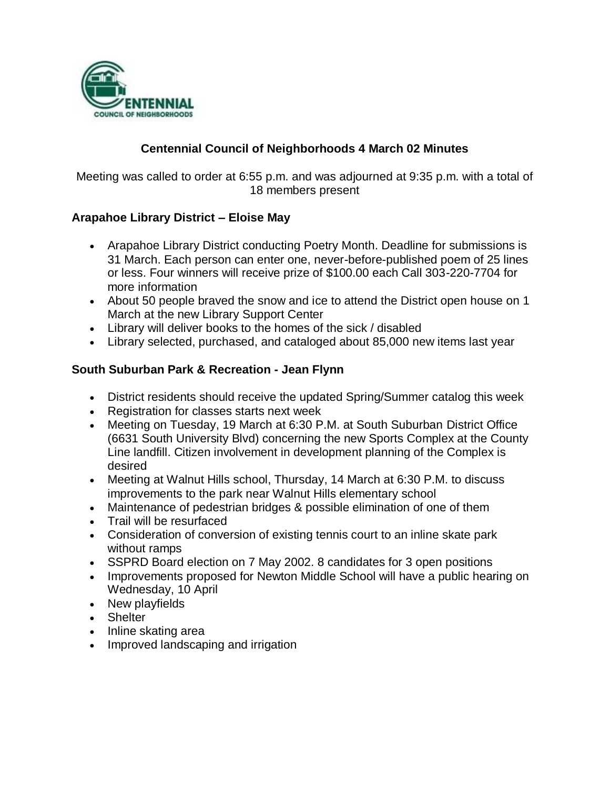

# **Centennial Council of Neighborhoods 4 March 02 Minutes**

Meeting was called to order at 6:55 p.m. and was adjourned at 9:35 p.m. with a total of 18 members present

# **Arapahoe Library District – Eloise May**

- Arapahoe Library District conducting Poetry Month. Deadline for submissions is 31 March. Each person can enter one, never-before-published poem of 25 lines or less. Four winners will receive prize of \$100.00 each Call 303-220-7704 for more information
- About 50 people braved the snow and ice to attend the District open house on 1 March at the new Library Support Center
- Library will deliver books to the homes of the sick / disabled
- Library selected, purchased, and cataloged about 85,000 new items last year

#### **South Suburban Park & Recreation - Jean Flynn**

- District residents should receive the updated Spring/Summer catalog this week
- Registration for classes starts next week
- Meeting on Tuesday, 19 March at 6:30 P.M. at South Suburban District Office (6631 South University Blvd) concerning the new Sports Complex at the County Line landfill. Citizen involvement in development planning of the Complex is desired
- Meeting at Walnut Hills school, Thursday, 14 March at 6:30 P.M. to discuss improvements to the park near Walnut Hills elementary school
- Maintenance of pedestrian bridges & possible elimination of one of them
- Trail will be resurfaced
- Consideration of conversion of existing tennis court to an inline skate park without ramps
- SSPRD Board election on 7 May 2002. 8 candidates for 3 open positions
- Improvements proposed for Newton Middle School will have a public hearing on Wednesday, 10 April
- New playfields
- Shelter
- Inline skating area
- Improved landscaping and irrigation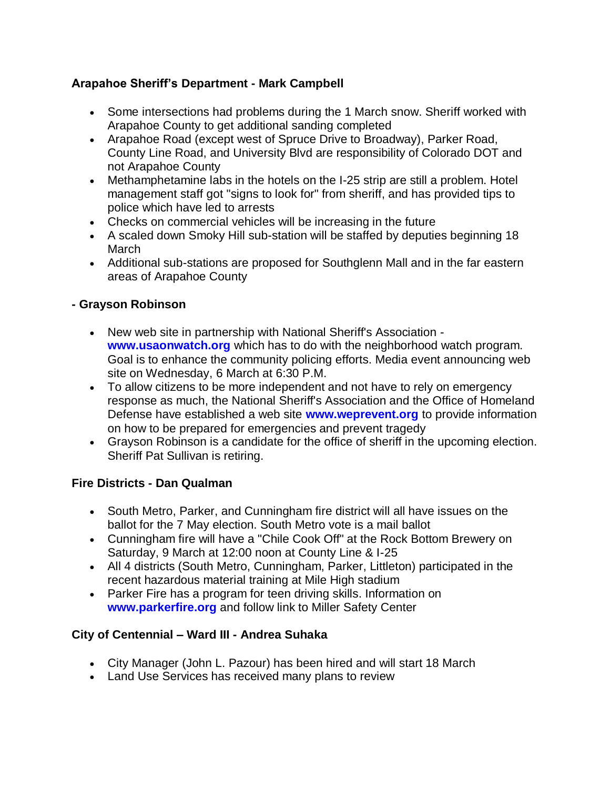# **Arapahoe Sheriff's Department - Mark Campbell**

- Some intersections had problems during the 1 March snow. Sheriff worked with Arapahoe County to get additional sanding completed
- Arapahoe Road (except west of Spruce Drive to Broadway), Parker Road, County Line Road, and University Blvd are responsibility of Colorado DOT and not Arapahoe County
- Methamphetamine labs in the hotels on the I-25 strip are still a problem. Hotel management staff got "signs to look for" from sheriff, and has provided tips to police which have led to arrests
- Checks on commercial vehicles will be increasing in the future
- A scaled down Smoky Hill sub-station will be staffed by deputies beginning 18 March
- Additional sub-stations are proposed for Southglenn Mall and in the far eastern areas of Arapahoe County

# **- Grayson Robinson**

- New web site in partnership with National Sheriff's Association **www.usaonwatch.org** which has to do with the neighborhood watch program. Goal is to enhance the community policing efforts. Media event announcing web site on Wednesday, 6 March at 6:30 P.M.
- To allow citizens to be more independent and not have to rely on emergency response as much, the National Sheriff's Association and the Office of Homeland Defense have established a web site **www.weprevent.org** to provide information on how to be prepared for emergencies and prevent tragedy
- Grayson Robinson is a candidate for the office of sheriff in the upcoming election. Sheriff Pat Sullivan is retiring.

# **Fire Districts - Dan Qualman**

- South Metro, Parker, and Cunningham fire district will all have issues on the ballot for the 7 May election. South Metro vote is a mail ballot
- Cunningham fire will have a "Chile Cook Off" at the Rock Bottom Brewery on Saturday, 9 March at 12:00 noon at County Line & I-25
- All 4 districts (South Metro, Cunningham, Parker, Littleton) participated in the recent hazardous material training at Mile High stadium
- Parker Fire has a program for teen driving skills. Information on **www.parkerfire.org** and follow link to Miller Safety Center

# **City of Centennial – Ward III - Andrea Suhaka**

- City Manager (John L. Pazour) has been hired and will start 18 March
- Land Use Services has received many plans to review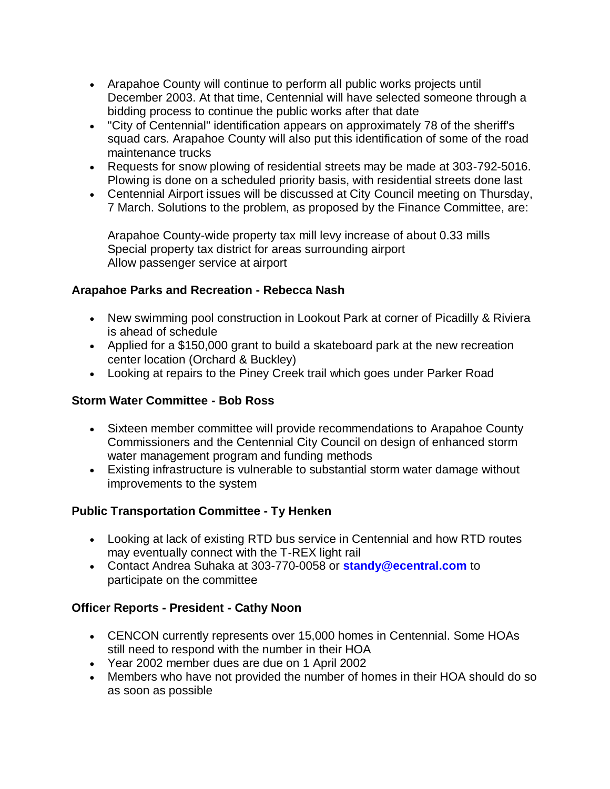- Arapahoe County will continue to perform all public works projects until December 2003. At that time, Centennial will have selected someone through a bidding process to continue the public works after that date
- "City of Centennial" identification appears on approximately 78 of the sheriff's squad cars. Arapahoe County will also put this identification of some of the road maintenance trucks
- Requests for snow plowing of residential streets may be made at 303-792-5016. Plowing is done on a scheduled priority basis, with residential streets done last
- Centennial Airport issues will be discussed at City Council meeting on Thursday, 7 March. Solutions to the problem, as proposed by the Finance Committee, are:

Arapahoe County-wide property tax mill levy increase of about 0.33 mills Special property tax district for areas surrounding airport Allow passenger service at airport

# **Arapahoe Parks and Recreation - Rebecca Nash**

- New swimming pool construction in Lookout Park at corner of Picadilly & Riviera is ahead of schedule
- Applied for a \$150,000 grant to build a skateboard park at the new recreation center location (Orchard & Buckley)
- Looking at repairs to the Piney Creek trail which goes under Parker Road

### **Storm Water Committee - Bob Ross**

- Sixteen member committee will provide recommendations to Arapahoe County Commissioners and the Centennial City Council on design of enhanced storm water management program and funding methods
- Existing infrastructure is vulnerable to substantial storm water damage without improvements to the system

#### **Public Transportation Committee - Ty Henken**

- Looking at lack of existing RTD bus service in Centennial and how RTD routes may eventually connect with the T-REX light rail
- Contact Andrea Suhaka at 303-770-0058 or **standy@ecentral.com** to participate on the committee

# **Officer Reports - President - Cathy Noon**

- CENCON currently represents over 15,000 homes in Centennial. Some HOAs still need to respond with the number in their HOA
- Year 2002 member dues are due on 1 April 2002
- Members who have not provided the number of homes in their HOA should do so as soon as possible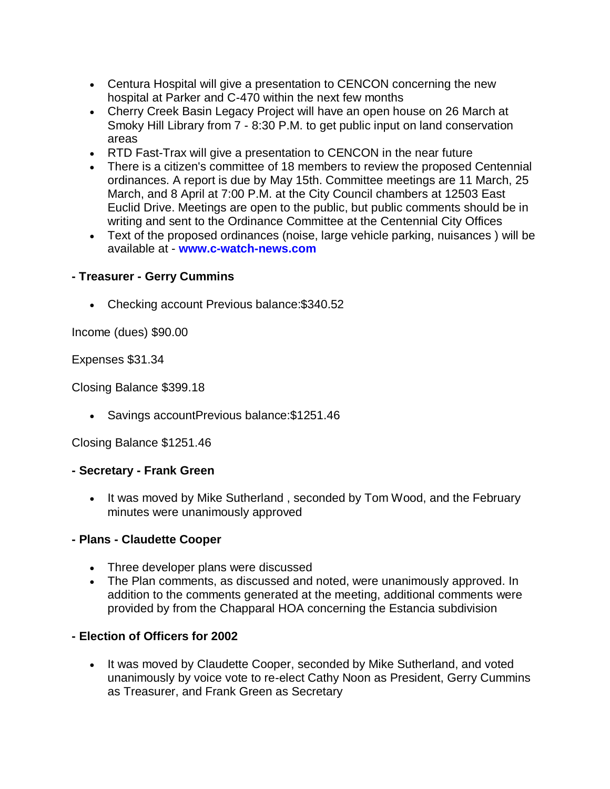- Centura Hospital will give a presentation to CENCON concerning the new hospital at Parker and C-470 within the next few months
- Cherry Creek Basin Legacy Project will have an open house on 26 March at Smoky Hill Library from 7 - 8:30 P.M. to get public input on land conservation areas
- RTD Fast-Trax will give a presentation to CENCON in the near future
- There is a citizen's committee of 18 members to review the proposed Centennial ordinances. A report is due by May 15th. Committee meetings are 11 March, 25 March, and 8 April at 7:00 P.M. at the City Council chambers at 12503 East Euclid Drive. Meetings are open to the public, but public comments should be in writing and sent to the Ordinance Committee at the Centennial City Offices
- Text of the proposed ordinances (noise, large vehicle parking, nuisances ) will be available at - **www.c-watch-news.com**

# **- Treasurer - Gerry Cummins**

Checking account Previous balance:\$340.52

Income (dues) \$90.00

Expenses \$31.34

Closing Balance \$399.18

Savings accountPrevious balance:\$1251.46

Closing Balance \$1251.46

# **- Secretary - Frank Green**

• It was moved by Mike Sutherland, seconded by Tom Wood, and the February minutes were unanimously approved

# **- Plans - Claudette Cooper**

- Three developer plans were discussed
- The Plan comments, as discussed and noted, were unanimously approved. In addition to the comments generated at the meeting, additional comments were provided by from the Chapparal HOA concerning the Estancia subdivision

# **- Election of Officers for 2002**

• It was moved by Claudette Cooper, seconded by Mike Sutherland, and voted unanimously by voice vote to re-elect Cathy Noon as President, Gerry Cummins as Treasurer, and Frank Green as Secretary